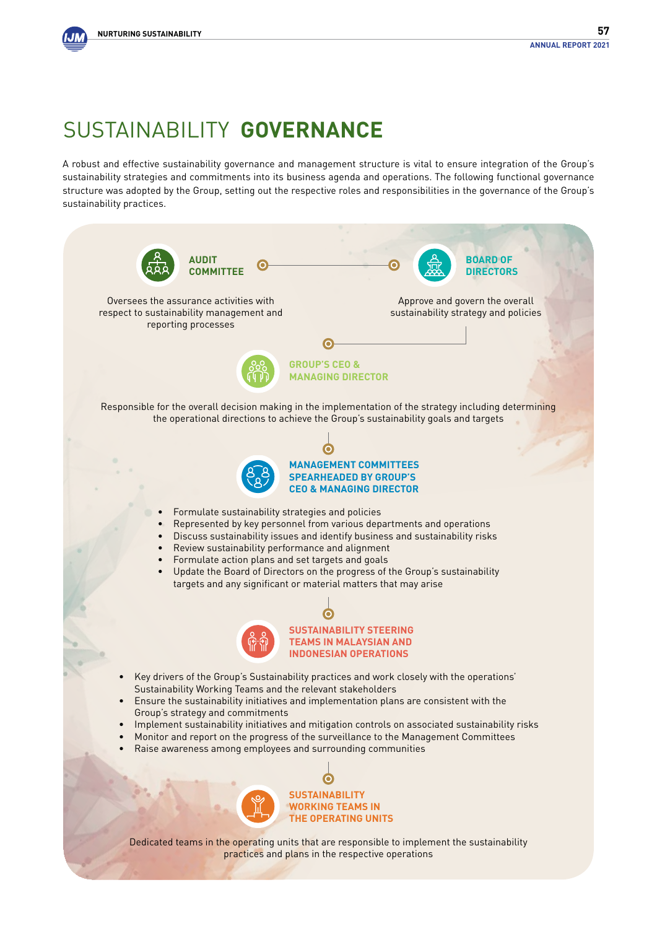#### Sustainability **Governance**

A robust and effective sustainability governance and management structure is vital to ensure integration of the Group's sustainability strategies and commitments into its business agenda and operations. The following functional governance structure was adopted by the Group, setting out the respective roles and responsibilities in the governance of the Group's sustainability practices.

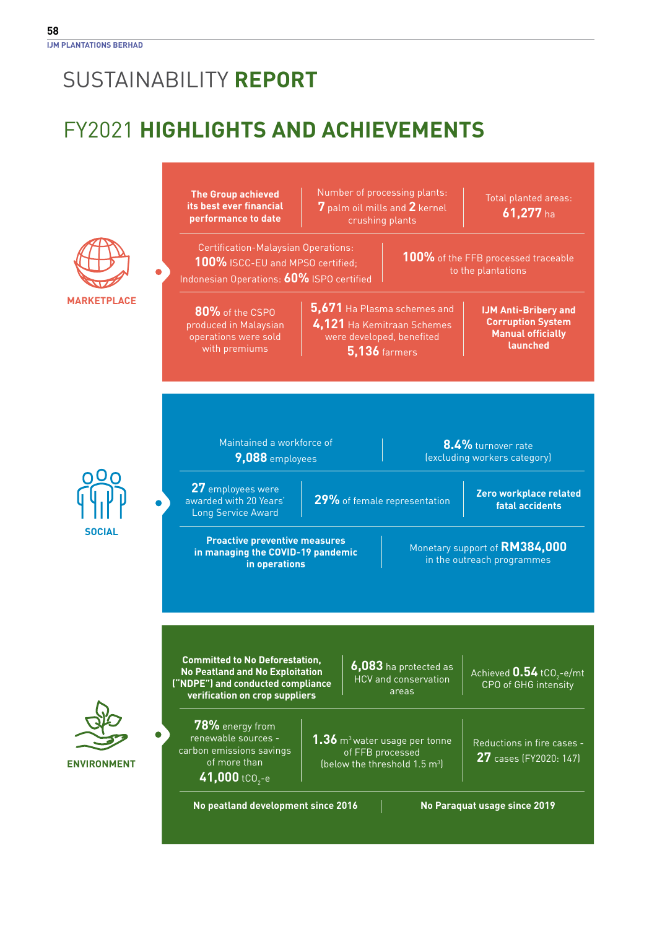### FY2021 **Highlights and Achievements**

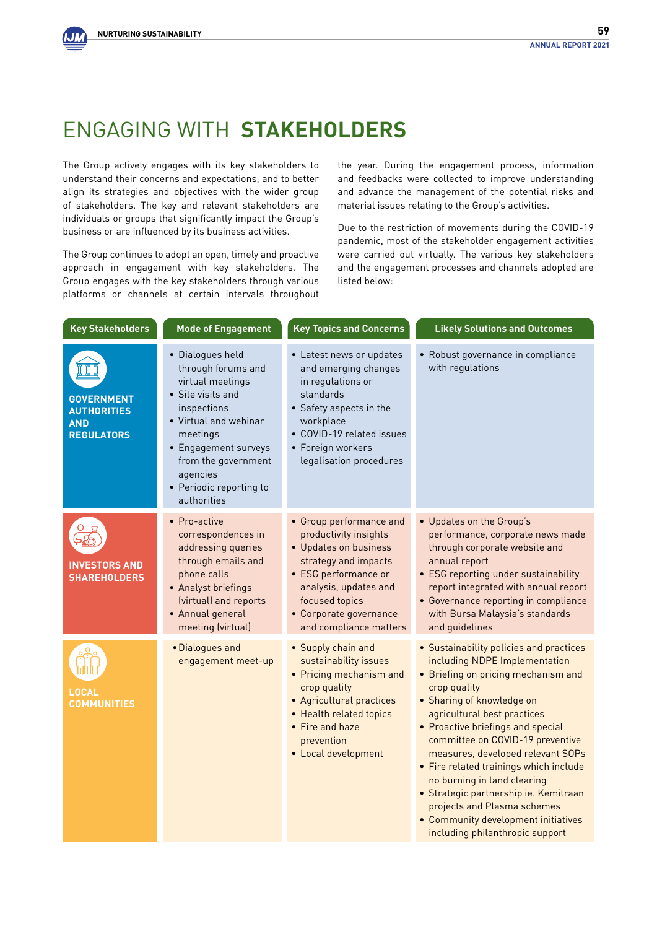#### Engaging with **Stakeholders**

The Group actively engages with its key stakeholders to understand their concerns and expectations, and to better align its strategies and objectives with the wider group of stakeholders. The key and relevant stakeholders are individuals or groups that significantly impact the Group's business or are influenced by its business activities.

The Group continues to adopt an open, timely and proactive approach in engagement with key stakeholders. The Group engages with the key stakeholders through various platforms or channels at certain intervals throughout

the year. During the engagement process, information and feedbacks were collected to improve understanding and advance the management of the potential risks and material issues relating to the Group's activities.

Due to the restriction of movements during the COVID-19 pandemic, most of the stakeholder engagement activities were carried out virtually. The various key stakeholders and the engagement processes and channels adopted are listed below:

| <b>Key Stakeholders</b>                                                    | <b>Mode of Engagement</b>                                                                                                                                                                                                                | <b>Key Topics and Concerns</b>                                                                                                                                                                                           | <b>Likely Solutions and Outcomes</b>                                                                                                                                                                                                                                                                                                                                                                                                                                                                                                 |
|----------------------------------------------------------------------------|------------------------------------------------------------------------------------------------------------------------------------------------------------------------------------------------------------------------------------------|--------------------------------------------------------------------------------------------------------------------------------------------------------------------------------------------------------------------------|--------------------------------------------------------------------------------------------------------------------------------------------------------------------------------------------------------------------------------------------------------------------------------------------------------------------------------------------------------------------------------------------------------------------------------------------------------------------------------------------------------------------------------------|
| <b>GOVERNMENT</b><br><b>AUTHORITIES</b><br><b>AND</b><br><b>REGULATORS</b> | · Dialogues held<br>through forums and<br>virtual meetings<br>• Site visits and<br>inspections<br>• Virtual and webinar<br>meetings<br>• Engagement surveys<br>from the government<br>agencies<br>• Periodic reporting to<br>authorities | • Latest news or updates<br>and emerging changes<br>in regulations or<br>standards<br>• Safety aspects in the<br>workplace<br>• COVID-19 related issues<br>• Foreign workers<br>legalisation procedures                  | • Robust governance in compliance<br>with regulations                                                                                                                                                                                                                                                                                                                                                                                                                                                                                |
| <b>INVESTORS AND</b><br><b>SHAREHOLDERS</b>                                | • Pro-active<br>correspondences in<br>addressing queries<br>through emails and<br>phone calls<br>• Analyst briefings<br>(virtual) and reports<br>• Annual general<br>meeting (virtual)                                                   | • Group performance and<br>productivity insights<br>• Updates on business<br>strategy and impacts<br>• ESG performance or<br>analysis, updates and<br>focused topics<br>• Corporate governance<br>and compliance matters | • Updates on the Group's<br>performance, corporate news made<br>through corporate website and<br>annual report<br>• ESG reporting under sustainability<br>report integrated with annual report<br>• Governance reporting in compliance<br>with Bursa Malaysia's standards<br>and guidelines                                                                                                                                                                                                                                          |
| LOCAL<br><b>COMMUNITIES</b>                                                | · Dialogues and<br>engagement meet-up                                                                                                                                                                                                    | • Supply chain and<br>sustainability issues<br>• Pricing mechanism and<br>crop quality<br>• Agricultural practices<br>• Health related topics<br>• Fire and haze<br>prevention<br>• Local development                    | • Sustainability policies and practices<br>including NDPE Implementation<br>• Briefing on pricing mechanism and<br>crop quality<br>• Sharing of knowledge on<br>agricultural best practices<br>• Proactive briefings and special<br>committee on COVID-19 preventive<br>measures, developed relevant SOPs<br>• Fire related trainings which include<br>no burning in land clearing<br>· Strategic partnership ie. Kemitraan<br>projects and Plasma schemes<br>• Community development initiatives<br>including philanthropic support |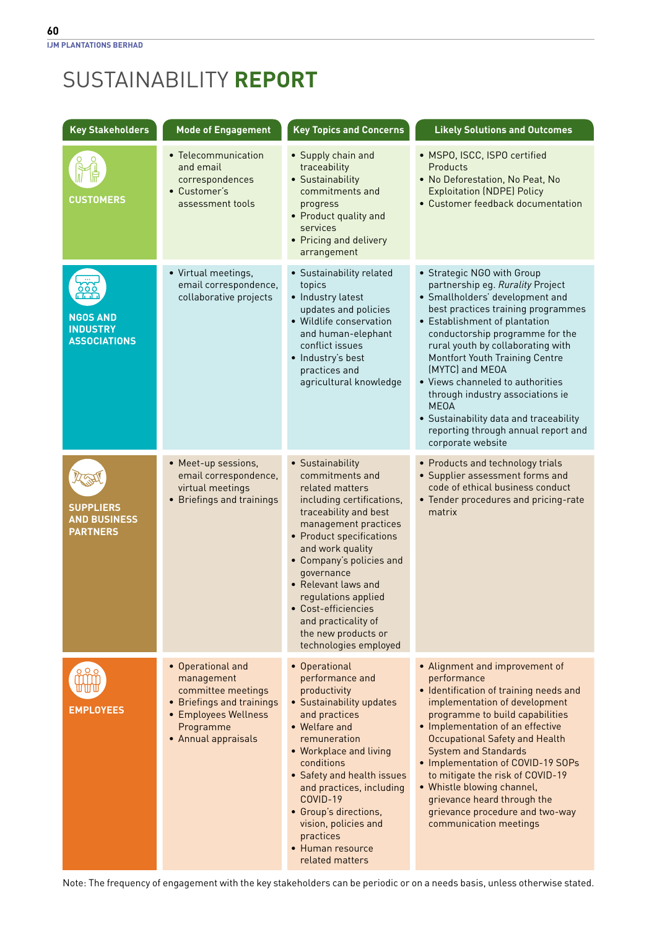| <b>Key Stakeholders</b>                                    | <b>Mode of Engagement</b>                                                                                                                      | <b>Key Topics and Concerns</b>                                                                                                                                                                                                                                                                                                                                             | <b>Likely Solutions and Outcomes</b>                                                                                                                                                                                                                                                                                                                                                                                                                                                               |
|------------------------------------------------------------|------------------------------------------------------------------------------------------------------------------------------------------------|----------------------------------------------------------------------------------------------------------------------------------------------------------------------------------------------------------------------------------------------------------------------------------------------------------------------------------------------------------------------------|----------------------------------------------------------------------------------------------------------------------------------------------------------------------------------------------------------------------------------------------------------------------------------------------------------------------------------------------------------------------------------------------------------------------------------------------------------------------------------------------------|
| <b>CUSTOMERS</b>                                           | • Telecommunication<br>and email<br>correspondences<br>• Customer's<br>assessment tools                                                        | • Supply chain and<br>traceability<br>• Sustainability<br>commitments and<br>progress<br>• Product quality and<br>services<br>• Pricing and delivery<br>arrangement                                                                                                                                                                                                        | • MSPO, ISCC, ISPO certified<br>Products<br>• No Deforestation, No Peat, No<br><b>Exploitation (NDPE) Policy</b><br>• Customer feedback documentation                                                                                                                                                                                                                                                                                                                                              |
| <b>NGOS AND</b><br><b>INDUSTRY</b><br><b>ASSOCIATIONS</b>  | • Virtual meetings,<br>email correspondence,<br>collaborative projects                                                                         | • Sustainability related<br>topics<br>• Industry latest<br>updates and policies<br>• Wildlife conservation<br>and human-elephant<br>conflict issues<br>· Industry's best<br>practices and<br>agricultural knowledge                                                                                                                                                        | • Strategic NGO with Group<br>partnership eg. Rurality Project<br>· Smallholders' development and<br>best practices training programmes<br>• Establishment of plantation<br>conductorship programme for the<br>rural youth by collaborating with<br>Montfort Youth Training Centre<br>(MYTC) and MEOA<br>• Views channeled to authorities<br>through industry associations ie<br><b>MEOA</b><br>• Sustainability data and traceability<br>reporting through annual report and<br>corporate website |
| <b>SUPPLIERS</b><br><b>AND BUSINESS</b><br><b>PARTNERS</b> | • Meet-up sessions,<br>email correspondence,<br>virtual meetings<br>• Briefings and trainings                                                  | • Sustainability<br>commitments and<br>related matters<br>including certifications,<br>traceability and best<br>management practices<br>• Product specifications<br>and work quality<br>• Company's policies and<br>governance<br>• Relevant laws and<br>regulations applied<br>• Cost-efficiencies<br>and practicality of<br>the new products or<br>technologies employed | • Products and technology trials<br>• Supplier assessment forms and<br>code of ethical business conduct<br>• Tender procedures and pricing-rate<br>matrix                                                                                                                                                                                                                                                                                                                                          |
| <b>EMPLOYEES</b>                                           | • Operational and<br>management<br>committee meetings<br>• Briefings and trainings<br>• Employees Wellness<br>Programme<br>• Annual appraisals | • Operational<br>performance and<br>productivity<br>• Sustainability updates<br>and practices<br>• Welfare and<br>remuneration<br>• Workplace and living<br>conditions<br>• Safety and health issues<br>and practices, including<br>COVID-19<br>• Group's directions,<br>vision, policies and<br>practices<br>• Human resource<br>related matters                          | • Alignment and improvement of<br>performance<br>• Identification of training needs and<br>implementation of development<br>programme to build capabilities<br>• Implementation of an effective<br>Occupational Safety and Health<br><b>System and Standards</b><br>• Implementation of COVID-19 SOPs<br>to mitigate the risk of COVID-19<br>• Whistle blowing channel,<br>grievance heard through the<br>grievance procedure and two-way<br>communication meetings                                |

Note: The frequency of engagement with the key stakeholders can be periodic or on a needs basis, unless otherwise stated.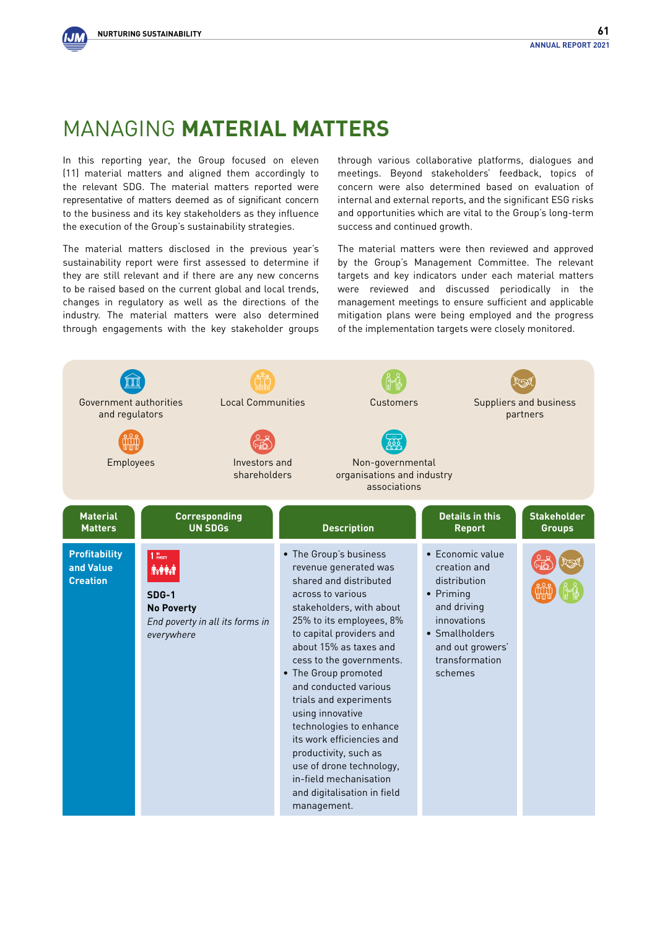

#### Managing **Material Matters**

In this reporting year, the Group focused on eleven (11) material matters and aligned them accordingly to the relevant SDG. The material matters reported were representative of matters deemed as of significant concern to the business and its key stakeholders as they influence the execution of the Group's sustainability strategies.

The material matters disclosed in the previous year's sustainability report were first assessed to determine if they are still relevant and if there are any new concerns to be raised based on the current global and local trends, changes in regulatory as well as the directions of the industry. The material matters were also determined through engagements with the key stakeholder groups through various collaborative platforms, dialogues and meetings. Beyond stakeholders' feedback, topics of concern were also determined based on evaluation of internal and external reports, and the significant ESG risks and opportunities which are vital to the Group's long-term success and continued growth.

The material matters were then reviewed and approved by the Group's Management Committee. The relevant targets and key indicators under each material matters were reviewed and discussed periodically in the management meetings to ensure sufficient and applicable mitigation plans were being employed and the progress of the implementation targets were closely monitored.

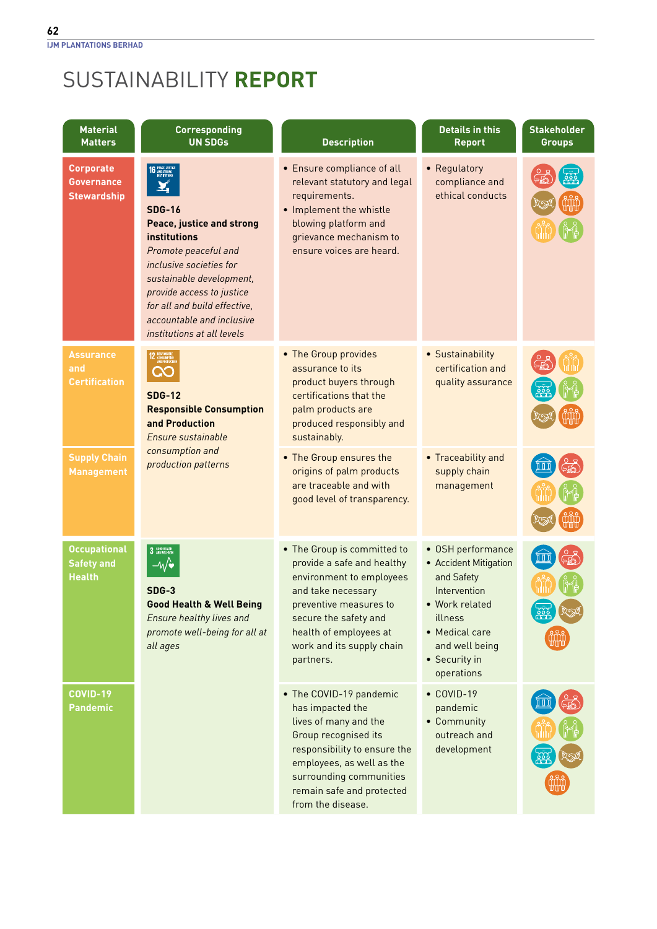| <b>Material</b><br><b>Matters</b>                           | <b>Corresponding</b><br><b>UN SDGs</b>                                                                                                                                                                                                                                                                            | <b>Description</b>                                                                                                                                                                                                                     | <b>Details in this</b><br><b>Report</b>                                                                                                                                  | <b>Stakeholder</b><br><b>Groups</b> |
|-------------------------------------------------------------|-------------------------------------------------------------------------------------------------------------------------------------------------------------------------------------------------------------------------------------------------------------------------------------------------------------------|----------------------------------------------------------------------------------------------------------------------------------------------------------------------------------------------------------------------------------------|--------------------------------------------------------------------------------------------------------------------------------------------------------------------------|-------------------------------------|
| <b>Corporate</b><br><b>Governance</b><br><b>Stewardship</b> | PEACE, JUSTICE<br>And Strong<br>Institutions<br><b>SDG-16</b><br>Peace, justice and strong<br>institutions<br>Promote peaceful and<br>inclusive societies for<br>sustainable development,<br>provide access to justice<br>for all and build effective,<br>accountable and inclusive<br>institutions at all levels | • Ensure compliance of all<br>relevant statutory and legal<br>requirements.<br>• Implement the whistle<br>blowing platform and<br>grievance mechanism to<br>ensure voices are heard.                                                   | • Regulatory<br>compliance and<br>ethical conducts                                                                                                                       |                                     |
| <b>Assurance</b><br>and<br><b>Certification</b>             | <b>SDG-12</b><br><b>Responsible Consumption</b><br>and Production<br>Ensure sustainable<br>consumption and<br>production patterns                                                                                                                                                                                 | • The Group provides<br>assurance to its<br>product buyers through<br>certifications that the<br>palm products are<br>produced responsibly and<br>sustainably.                                                                         | • Sustainability<br>certification and<br>quality assurance                                                                                                               |                                     |
| <b>Supply Chain</b><br><b>Management</b>                    |                                                                                                                                                                                                                                                                                                                   | • The Group ensures the<br>origins of palm products<br>are traceable and with<br>good level of transparency.                                                                                                                           | • Traceability and<br>supply chain<br>management                                                                                                                         |                                     |
| <b>Occupational</b><br><b>Safety and</b><br><b>Health</b>   | 3 GOOD HEALTH<br>$-\sqrt{\bullet}$<br>$SDG-3$<br><b>Good Health &amp; Well Being</b><br>Ensure healthy lives and<br>promote well-being for all at<br>all ages                                                                                                                                                     | • The Group is committed to<br>provide a safe and healthy<br>environment to employees<br>and take necessary<br>preventive measures to<br>secure the safety and<br>health of employees at<br>work and its supply chain<br>partners.     | • OSH performance<br>• Accident Mitigation<br>and Safety<br>Intervention<br>• Work related<br>illness<br>• Medical care<br>and well being<br>• Security in<br>operations |                                     |
| COVID-19<br><b>Pandemic</b>                                 |                                                                                                                                                                                                                                                                                                                   | • The COVID-19 pandemic<br>has impacted the<br>lives of many and the<br>Group recognised its<br>responsibility to ensure the<br>employees, as well as the<br>surrounding communities<br>remain safe and protected<br>from the disease. | $\bullet$ COVID-19<br>pandemic<br>• Community<br>outreach and<br>development                                                                                             |                                     |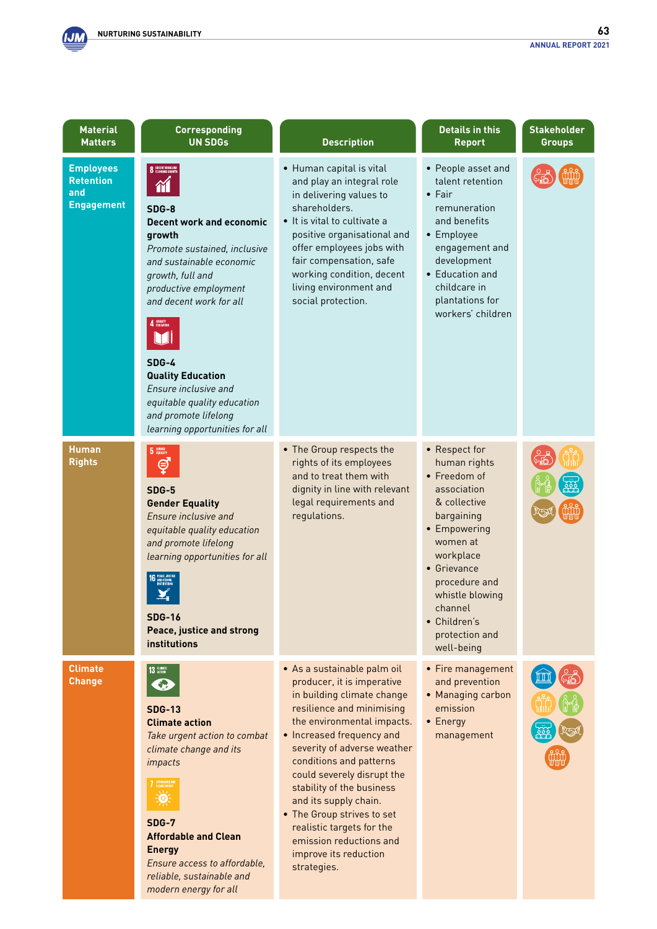

*modern energy for all*

| <b>Material</b><br><b>Matters</b>                                | <b>Corresponding</b><br><b>UN SDGs</b>                                                                                                                                                                                                                                                                                                                                                 | <b>Description</b>                                                                                                                                                                                                                                                                                                                                                                                                                                          | <b>Details in this</b><br><b>Report</b>                                                                                                                                                                                                           | <b>Stakeholder</b><br><b>Groups</b> |
|------------------------------------------------------------------|----------------------------------------------------------------------------------------------------------------------------------------------------------------------------------------------------------------------------------------------------------------------------------------------------------------------------------------------------------------------------------------|-------------------------------------------------------------------------------------------------------------------------------------------------------------------------------------------------------------------------------------------------------------------------------------------------------------------------------------------------------------------------------------------------------------------------------------------------------------|---------------------------------------------------------------------------------------------------------------------------------------------------------------------------------------------------------------------------------------------------|-------------------------------------|
| <b>Employees</b><br><b>Retention</b><br>and<br><b>Engagement</b> | <b>8</b> DECENT WORK AN<br>SDG-8<br><b>Decent work and economic</b><br>growth<br>Promote sustained, inclusive<br>and sustainable economic<br>growth, full and<br>productive employment<br>and decent work for all<br>4 QUALITY<br>$SDG-4$<br><b>Quality Education</b><br>Ensure inclusive and<br>equitable quality education<br>and promote lifelong<br>learning opportunities for all | • Human capital is vital<br>and play an integral role<br>in delivering values to<br>shareholders.<br>• It is vital to cultivate a<br>positive organisational and<br>offer employees jobs with<br>fair compensation, safe<br>working condition, decent<br>living environment and<br>social protection.                                                                                                                                                       | • People asset and<br>talent retention<br>$\bullet$ Fair<br>remuneration<br>and benefits<br>• Employee<br>engagement and<br>development<br>• Education and<br>childcare in<br>plantations for<br>workers' children                                |                                     |
| <b>Human</b><br><b>Rights</b>                                    | 5 GENDER<br>⊜<br>$SDG-5$<br><b>Gender Equality</b><br>Ensure inclusive and<br>equitable quality education<br>and promote lifelong<br>learning opportunities for all<br><b>SDG-16</b><br><b>Peace, justice and strong</b><br><b>institutions</b>                                                                                                                                        | • The Group respects the<br>rights of its employees<br>and to treat them with<br>dignity in line with relevant<br>legal requirements and<br>regulations.                                                                                                                                                                                                                                                                                                    | • Respect for<br>human rights<br>• Freedom of<br>association<br>& collective<br>bargaining<br>• Empowering<br>women at<br>workplace<br>• Grievance<br>procedure and<br>whistle blowing<br>channel<br>• Children's<br>protection and<br>well-being |                                     |
| <b>Climate</b><br><b>Change</b>                                  | 13 ACTION<br><b>SDG-13</b><br><b>Climate action</b><br>Take urgent action to combat<br>climate change and its<br>impacts<br>7 AFFORDABLE AND<br>Q<br><b>SDG-7</b><br><b>Affordable and Clean</b><br><b>Energy</b><br>Ensure access to affordable,<br>reliable, sustainable and                                                                                                         | · As a sustainable palm oil<br>producer, it is imperative<br>in building climate change<br>resilience and minimising<br>the environmental impacts.<br>• Increased frequency and<br>severity of adverse weather<br>conditions and patterns<br>could severely disrupt the<br>stability of the business<br>and its supply chain.<br>• The Group strives to set<br>realistic targets for the<br>emission reductions and<br>improve its reduction<br>strategies. | • Fire management<br>and prevention<br>• Managing carbon<br>emission<br>• Energy<br>management                                                                                                                                                    |                                     |